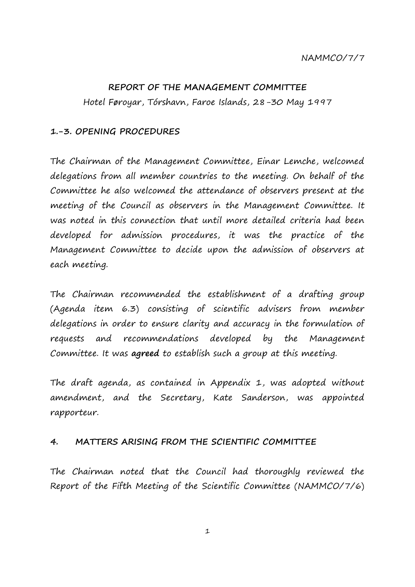## **REPORT OF THE MANAGEMENT COMMITTEE**

Hotel Føroyar, Tórshavn, Faroe Islands, 28-30 May 1997

## **1.-3. OPENING PROCEDURES**

The Chairman of the Management Committee, Einar Lemche, welcomed delegations from all member countries to the meeting. On behalf of the Committee he also welcomed the attendance of observers present at the meeting of the Council as observers in the Management Committee. It was noted in this connection that until more detailed criteria had been developed for admission procedures, it was the practice of the Management Committee to decide upon the admission of observers at each meeting.

The Chairman recommended the establishment of a drafting group (Agenda item 6.3) consisting of scientific advisers from member delegations in order to ensure clarity and accuracy in the formulation of requests and recommendations developed by the Management Committee. It was **agreed** to establish such a group at this meeting.

The draft agenda, as contained in Appendix 1, was adopted without amendment, and the Secretary, Kate Sanderson, was appointed rapporteur.

## **4. MATTERS ARISING FROM THE SCIENTIFIC COMMITTEE**

The Chairman noted that the Council had thoroughly reviewed the Report of the Fifth Meeting of the Scientific Committee (NAMMCO/7/6)

1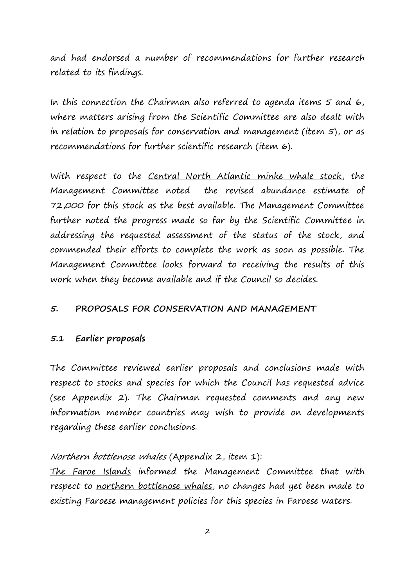and had endorsed a number of recommendations for further research related to its findings.

In this connection the Chairman also referred to agenda items 5 and 6, where matters arising from the Scientific Committee are also dealt with in relation to proposals for conservation and management (item 5), or as recommendations for further scientific research (item 6).

With respect to the Central North Atlantic minke whale stock, the Management Committee noted the revised abundance estimate of 72,000 for this stock as the best available. The Management Committee further noted the progress made so far by the Scientific Committee in addressing the requested assessment of the status of the stock, and commended their efforts to complete the work as soon as possible. The Management Committee looks forward to receiving the results of this work when they become available and if the Council so decides.

## **5. PROPOSALS FOR CONSERVATION AND MANAGEMENT**

## **5.1 Earlier proposals**

The Committee reviewed earlier proposals and conclusions made with respect to stocks and species for which the Council has requested advice (see Appendix 2). The Chairman requested comments and any new information member countries may wish to provide on developments regarding these earlier conclusions.

## Northern bottlenose whales (Appendix 2, item 1):

The Faroe Islands informed the Management Committee that with respect to northern bottlenose whales, no changes had yet been made to existing Faroese management policies for this species in Faroese waters.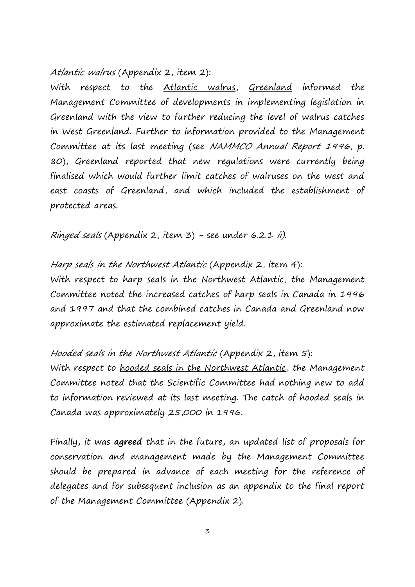Atlantic walrus (Appendix 2, item 2):

With respect to the Atlantic walrus, Greenland informed the Management Committee of developments in implementing legislation in Greenland with the view to further reducing the level of walrus catches in West Greenland. Further to information provided to the Management Committee at its last meeting (see NAMMCO Annual Report 1996, p. 80), Greenland reported that new regulations were currently being finalised which would further limit catches of walruses on the west and east coasts of Greenland, and which included the establishment of protected areas.

Ringed seals (Appendix 2, item  $3$ ) - see under 6.2.1 ii).

Harp seals in the Northwest Atlantic (Appendix 2, item 4): With respect to harp seals in the Northwest Atlantic, the Management Committee noted the increased catches of harp seals in Canada in 1996 and 1997 and that the combined catches in Canada and Greenland now approximate the estimated replacement yield.

Hooded seals in the Northwest Atlantic (Appendix 2, item 5): With respect to **hooded seals in the Northwest Atlantic**, the Management Committee noted that the Scientific Committee had nothing new to add to information reviewed at its last meeting. The catch of hooded seals in Canada was approximately 25,000 in 1996.

Finally, it was **agreed** that in the future, an updated list of proposals for conservation and management made by the Management Committee should be prepared in advance of each meeting for the reference of delegates and for subsequent inclusion as an appendix to the final report of the Management Committee (Appendix 2).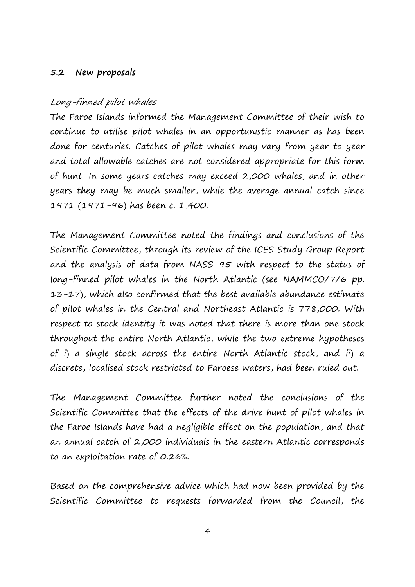## **5.2 New proposals**

## Long-finned pilot whales

The Faroe Islands informed the Management Committee of their wish to continue to utilise pilot whales in an opportunistic manner as has been done for centuries. Catches of pilot whales may vary from year to year and total allowable catches are not considered appropriate for this form of hunt. In some years catches may exceed 2,000 whales, and in other years they may be much smaller, while the average annual catch since 1971 (1971-96) has been c. 1,400.

The Management Committee noted the findings and conclusions of the Scientific Committee, through its review of the ICES Study Group Report and the analysis of data from NASS-95 with respect to the status of long-finned pilot whales in the North Atlantic (see NAMMCO/7/6 pp. 13-17), which also confirmed that the best available abundance estimate of pilot whales in the Central and Northeast Atlantic is 778,000. With respect to stock identity it was noted that there is more than one stock throughout the entire North Atlantic, while the two extreme hypotheses of i) a single stock across the entire North Atlantic stock, and ii) a discrete, localised stock restricted to Faroese waters, had been ruled out.

The Management Committee further noted the conclusions of the Scientific Committee that the effects of the drive hunt of pilot whales in the Faroe Islands have had a negligible effect on the population, and that an annual catch of 2,000 individuals in the eastern Atlantic corresponds to an exploitation rate of 0.26%.

Based on the comprehensive advice which had now been provided by the Scientific Committee to requests forwarded from the Council, the

4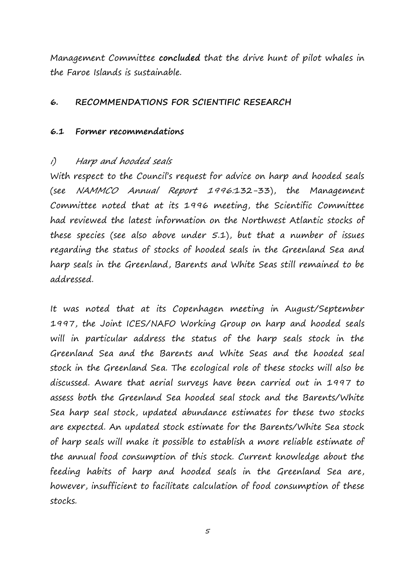Management Committee **concluded** that the drive hunt of pilot whales in the Faroe Islands is sustainable.

## **6. RECOMMENDATIONS FOR SCIENTIFIC RESEARCH**

## **6.1 Former recommendations**

## i) Harp and hooded seals

With respect to the Council's request for advice on harp and hooded seals (see NAMMCO Annual Report 1996:132-33), the Management Committee noted that at its 1996 meeting, the Scientific Committee had reviewed the latest information on the Northwest Atlantic stocks of these species (see also above under  $5.1$ ), but that a number of issues regarding the status of stocks of hooded seals in the Greenland Sea and harp seals in the Greenland, Barents and White Seas still remained to be addressed.

It was noted that at its Copenhagen meeting in August/September 1997, the Joint ICES/NAFO Working Group on harp and hooded seals will in particular address the status of the harp seals stock in the Greenland Sea and the Barents and White Seas and the hooded seal stock in the Greenland Sea. The ecological role of these stocks will also be discussed. Aware that aerial surveys have been carried out in 1997 to assess both the Greenland Sea hooded seal stock and the Barents/White Sea harp seal stock, updated abundance estimates for these two stocks are expected. An updated stock estimate for the Barents/White Sea stock of harp seals will make it possible to establish a more reliable estimate of the annual food consumption of this stock. Current knowledge about the feeding habits of harp and hooded seals in the Greenland Sea are, however, insufficient to facilitate calculation of food consumption of these stocks.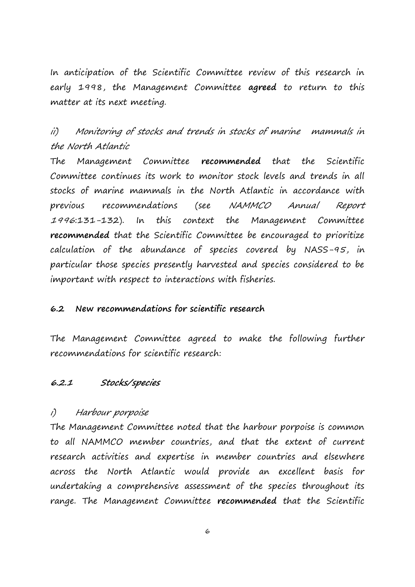In anticipation of the Scientific Committee review of this research in early 1998, the Management Committee **agreed** to return to this matter at its next meeting.

ii) Monitoring of stocks and trends in stocks of marine mammals in the North Atlantic

The Management Committee **recommended** that the Scientific Committee continues its work to monitor stock levels and trends in all stocks of marine mammals in the North Atlantic in accordance with previous recommendations (see NAMMCO Annual Report <sup>1996</sup>:131-132). In this context the Management Committee **recommended** that the Scientific Committee be encouraged to prioritize calculation of the abundance of species covered by NASS-95, in particular those species presently harvested and species considered to be important with respect to interactions with fisheries.

## **6.2 New recommendations for scientific research**

The Management Committee agreed to make the following further recommendations for scientific research:

## **6.2.1 Stocks/species**

## i) Harbour porpoise

The Management Committee noted that the harbour porpoise is common to all NAMMCO member countries, and that the extent of current research activities and expertise in member countries and elsewhere across the North Atlantic would provide an excellent basis for undertaking a comprehensive assessment of the species throughout its range. The Management Committee **recommended** that the Scientific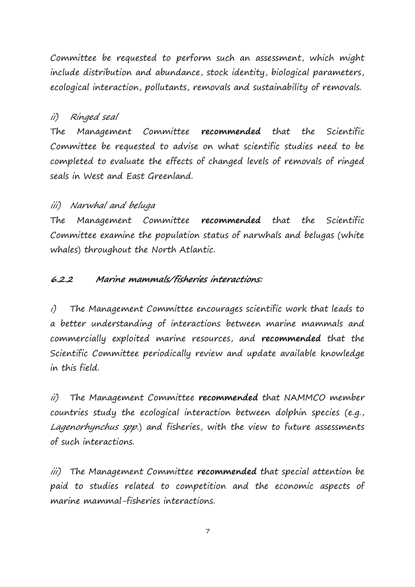Committee be requested to perform such an assessment, which might include distribution and abundance, stock identity, biological parameters, ecological interaction, pollutants, removals and sustainability of removals.

# ii) Ringed seal

The Management Committee **recommended** that the Scientific Committee be requested to advise on what scientific studies need to be completed to evaluate the effects of changed levels of removals of ringed seals in West and East Greenland.

# iii) Narwhal and beluga

The Management Committee **recommended** that the Scientific Committee examine the population status of narwhals and belugas (white whales) throughout the North Atlantic.

# **6.2.2 Marine mammals/fisheries interactions:**

i) The Management Committee encourages scientific work that leads to a better understanding of interactions between marine mammals and commercially exploited marine resources, and **recommended** that the Scientific Committee periodically review and update available knowledge in this field.

ii) The Management Committee **recommended** that NAMMCO member countries study the ecological interaction between dolphin species (e.g., Lagenorhynchus spp.) and fisheries, with the view to future assessments of such interactions.

iii) The Management Committee **recommended** that special attention be paid to studies related to competition and the economic aspects of marine mammal-fisheries interactions.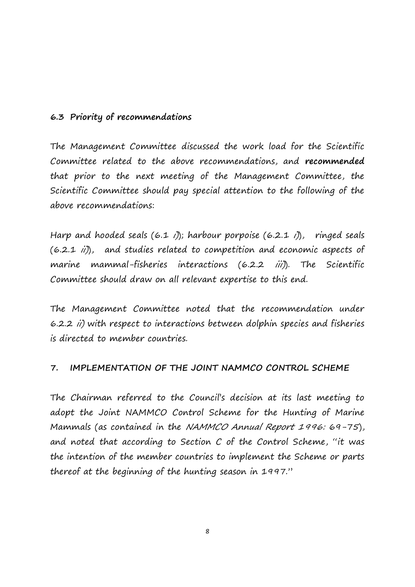## **6.3 Priority of recommendations**

The Management Committee discussed the work load for the Scientific Committee related to the above recommendations, and **recommended** that prior to the next meeting of the Management Committee, the Scientific Committee should pay special attention to the following of the above recommendations:

Harp and hooded seals  $(6.1 \t{i})$ ; harbour porpoise  $(6.2.1 \t{i})$ , ringed seals (6.2.1 ii)), and studies related to competition and economic aspects of marine mammal-fisheries interactions (6.2.2 *iii*)). The Scientific Committee should draw on all relevant expertise to this end.

The Management Committee noted that the recommendation under 6.2.2 ii) with respect to interactions between dolphin species and fisheries is directed to member countries.

## **7. IMPLEMENTATION OF THE JOINT NAMMCO CONTROL SCHEME**

The Chairman referred to the Council's decision at its last meeting to adopt the Joint NAMMCO Control Scheme for the Hunting of Marine Mammals (as contained in the NAMMCO Annual Report 1996: 69-75), and noted that according to Section C of the Control Scheme, "it was the intention of the member countries to implement the Scheme or parts thereof at the beginning of the hunting season in 1997."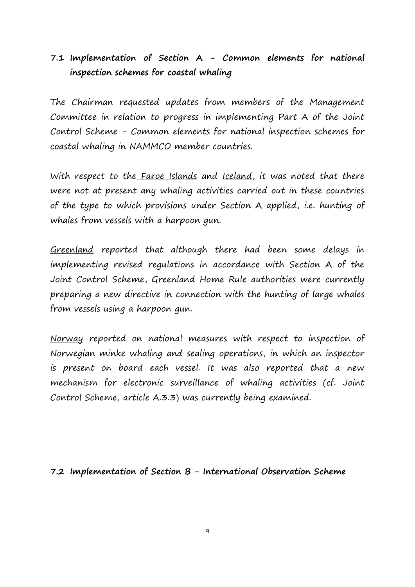# **7.1 Implementation of Section A - Common elements for national inspection schemes for coastal whaling**

The Chairman requested updates from members of the Management Committee in relation to progress in implementing Part A of the Joint Control Scheme - Common elements for national inspection schemes for coastal whaling in NAMMCO member countries.

With respect to the Faroe Islands and Iceland, it was noted that there were not at present any whaling activities carried out in these countries of the type to which provisions under Section A applied, i.e. hunting of whales from vessels with a harpoon gun.

Greenland reported that although there had been some delays in implementing revised regulations in accordance with Section A of the Joint Control Scheme, Greenland Home Rule authorities were currently preparing a new directive in connection with the hunting of large whales from vessels using a harpoon gun.

Norway reported on national measures with respect to inspection of Norwegian minke whaling and sealing operations, in which an inspector is present on board each vessel. It was also reported that a new mechanism for electronic surveillance of whaling activities (cf. Joint Control Scheme, article A.3.3) was currently being examined.

# **7.2 Implementation of Section B - International Observation Scheme**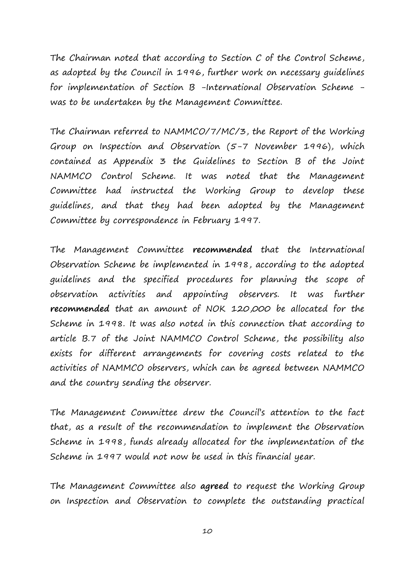The Chairman noted that according to Section C of the Control Scheme, as adopted by the Council in 1996, further work on necessary guidelines for implementation of Section B -International Observation Scheme was to be undertaken by the Management Committee.

The Chairman referred to NAMMCO/7/MC/3, the Report of the Working Group on Inspection and Observation (5-7 November 1996), which contained as Appendix 3 the Guidelines to Section B of the Joint NAMMCO Control Scheme. It was noted that the Management Committee had instructed the Working Group to develop these guidelines, and that they had been adopted by the Management Committee by correspondence in February 1997.

The Management Committee **recommended** that the International Observation Scheme be implemented in 1998, according to the adopted guidelines and the specified procedures for planning the scope of observation activities and appointing observers. It was further **recommended** that an amount of NOK 120,000 be allocated for the Scheme in 1998. It was also noted in this connection that according to article B.7 of the Joint NAMMCO Control Scheme, the possibility also exists for different arrangements for covering costs related to the activities of NAMMCO observers, which can be agreed between NAMMCO and the country sending the observer.

The Management Committee drew the Council's attention to the fact that, as a result of the recommendation to implement the Observation Scheme in 1998, funds already allocated for the implementation of the Scheme in 1997 would not now be used in this financial year.

The Management Committee also **agreed** to request the Working Group on Inspection and Observation to complete the outstanding practical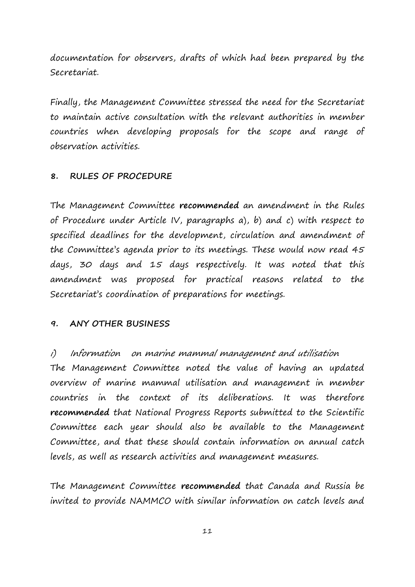documentation for observers, drafts of which had been prepared by the Secretariat.

Finally, the Management Committee stressed the need for the Secretariat to maintain active consultation with the relevant authorities in member countries when developing proposals for the scope and range of observation activities.

## **8. RULES OF PROCEDURE**

The Management Committee **recommended** an amendment in the Rules of Procedure under Article IV, paragraphs a), b) and c) with respect to specified deadlines for the development, circulation and amendment of the Committee's agenda prior to its meetings. These would now read 45 days, 30 days and 15 days respectively. It was noted that this amendment was proposed for practical reasons related to the Secretariat's coordination of preparations for meetings.

## **9. ANY OTHER BUSINESS**

## i) Information on marine mammal management and utilisation

The Management Committee noted the value of having an updated overview of marine mammal utilisation and management in member countries in the context of its deliberations. It was therefore **recommended** that National Progress Reports submitted to the Scientific Committee each year should also be available to the Management Committee, and that these should contain information on annual catch levels, as well as research activities and management measures.

The Management Committee **recommended** that Canada and Russia be invited to provide NAMMCO with similar information on catch levels and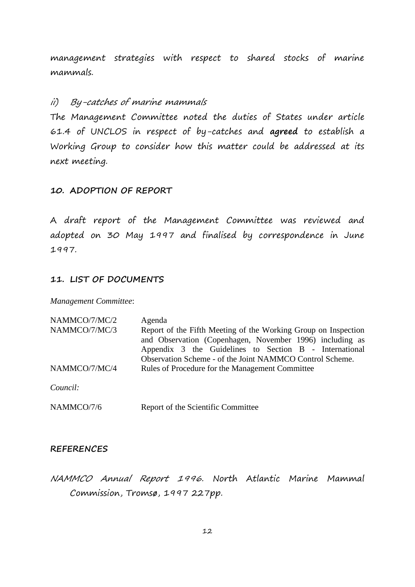management strategies with respect to shared stocks of marine mammals.

## ii) By-catches of marine mammals

The Management Committee noted the duties of States under article 61.4 of UNCLOS in respect of by-catches and **agreed** to establish a Working Group to consider how this matter could be addressed at its next meeting.

### **10. ADOPTION OF REPORT**

A draft report of the Management Committee was reviewed and adopted on 30 May 1997 and finalised by correspondence in June 1997.

## **11. LIST OF DOCUMENTS**

*Management Committee*:

| NAMMCO/7/MC/2 | Agenda                                                         |
|---------------|----------------------------------------------------------------|
| NAMMCO/7/MC/3 | Report of the Fifth Meeting of the Working Group on Inspection |
|               | and Observation (Copenhagen, November 1996) including as       |
|               | Appendix 3 the Guidelines to Section B - International         |
|               | Observation Scheme - of the Joint NAMMCO Control Scheme.       |
| NAMMCO/7/MC/4 | Rules of Procedure for the Management Committee                |
|               |                                                                |
| Council:      |                                                                |
|               |                                                                |

NAMMCO/7/6 Report of the Scientific Committee

### **REFERENCES**

NAMMCO Annual Report 1996. North Atlantic Marine Mammal Commission, Tromsø, 1997 227pp.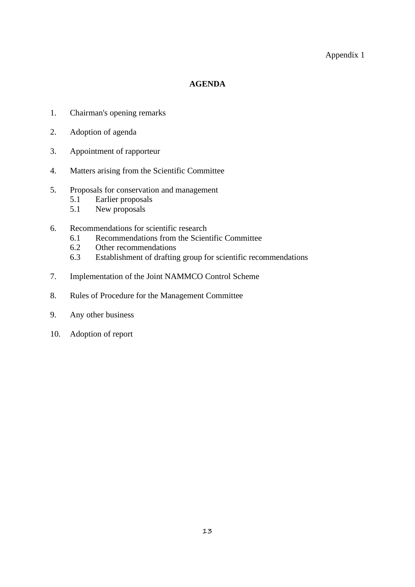### Appendix 1

### **AGENDA**

- 1. Chairman's opening remarks
- 2. Adoption of agenda
- 3. Appointment of rapporteur
- 4. Matters arising from the Scientific Committee
- 5. Proposals for conservation and management
	- 5.1 Earlier proposals
	- 5.1 New proposals
- 6. Recommendations for scientific research
	- 6.1 Recommendations from the Scientific Committee
	- 6.2 Other recommendations
	- 6.3 Establishment of drafting group for scientific recommendations
- 7. Implementation of the Joint NAMMCO Control Scheme
- 8. Rules of Procedure for the Management Committee
- 9. Any other business
- 10. Adoption of report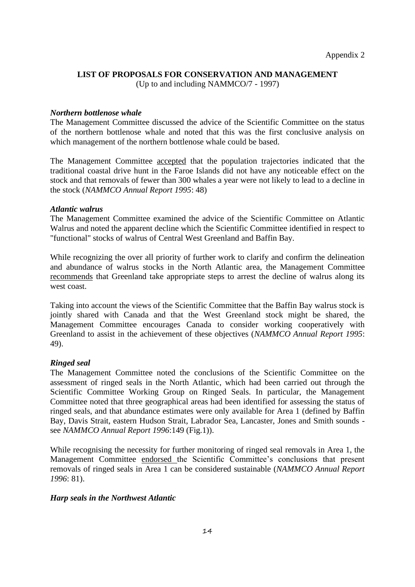#### **LIST OF PROPOSALS FOR CONSERVATION AND MANAGEMENT**

(Up to and including NAMMCO/7 - 1997)

#### *Northern bottlenose whale*

The Management Committee discussed the advice of the Scientific Committee on the status of the northern bottlenose whale and noted that this was the first conclusive analysis on which management of the northern bottlenose whale could be based.

The Management Committee accepted that the population trajectories indicated that the traditional coastal drive hunt in the Faroe Islands did not have any noticeable effect on the stock and that removals of fewer than 300 whales a year were not likely to lead to a decline in the stock (*NAMMCO Annual Report 1995*: 48)

#### *Atlantic walrus*

The Management Committee examined the advice of the Scientific Committee on Atlantic Walrus and noted the apparent decline which the Scientific Committee identified in respect to "functional" stocks of walrus of Central West Greenland and Baffin Bay.

While recognizing the over all priority of further work to clarify and confirm the delineation and abundance of walrus stocks in the North Atlantic area, the Management Committee recommends that Greenland take appropriate steps to arrest the decline of walrus along its west coast.

Taking into account the views of the Scientific Committee that the Baffin Bay walrus stock is jointly shared with Canada and that the West Greenland stock might be shared, the Management Committee encourages Canada to consider working cooperatively with Greenland to assist in the achievement of these objectives (*NAMMCO Annual Report 1995*: 49).

#### *Ringed seal*

The Management Committee noted the conclusions of the Scientific Committee on the assessment of ringed seals in the North Atlantic, which had been carried out through the Scientific Committee Working Group on Ringed Seals. In particular, the Management Committee noted that three geographical areas had been identified for assessing the status of ringed seals, and that abundance estimates were only available for Area 1 (defined by Baffin Bay, Davis Strait, eastern Hudson Strait, Labrador Sea, Lancaster, Jones and Smith sounds see *NAMMCO Annual Report 1996*:149 (Fig.1)).

While recognising the necessity for further monitoring of ringed seal removals in Area 1, the Management Committee endorsed the Scientific Committee's conclusions that present removals of ringed seals in Area 1 can be considered sustainable (*NAMMCO Annual Report 1996*: 81).

#### *Harp seals in the Northwest Atlantic*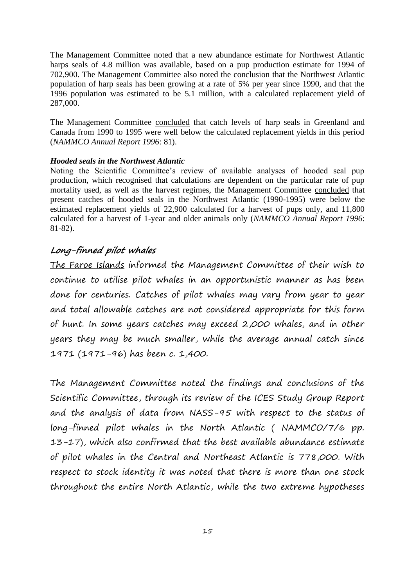The Management Committee noted that a new abundance estimate for Northwest Atlantic harps seals of 4.8 million was available, based on a pup production estimate for 1994 of 702,900. The Management Committee also noted the conclusion that the Northwest Atlantic population of harp seals has been growing at a rate of 5% per year since 1990, and that the 1996 population was estimated to be 5.1 million, with a calculated replacement yield of 287,000.

The Management Committee concluded that catch levels of harp seals in Greenland and Canada from 1990 to 1995 were well below the calculated replacement yields in this period (*NAMMCO Annual Report 1996*: 81).

### *Hooded seals in the Northwest Atlantic*

Noting the Scientific Committee's review of available analyses of hooded seal pup production, which recognised that calculations are dependent on the particular rate of pup mortality used, as well as the harvest regimes, the Management Committee concluded that present catches of hooded seals in the Northwest Atlantic (1990-1995) were below the estimated replacement yields of 22,900 calculated for a harvest of pups only, and 11,800 calculated for a harvest of 1-year and older animals only (*NAMMCO Annual Report 1996*: 81-82).

# **Long-finned pilot whales**

The Faroe Islands informed the Management Committee of their wish to continue to utilise pilot whales in an opportunistic manner as has been done for centuries. Catches of pilot whales may vary from year to year and total allowable catches are not considered appropriate for this form of hunt. In some years catches may exceed 2,000 whales, and in other years they may be much smaller, while the average annual catch since 1971 (1971-96) has been c. 1,400.

The Management Committee noted the findings and conclusions of the Scientific Committee, through its review of the ICES Study Group Report and the analysis of data from NASS-95 with respect to the status of long-finned pilot whales in the North Atlantic ( NAMMCO/7/6 pp. 13-17), which also confirmed that the best available abundance estimate of pilot whales in the Central and Northeast Atlantic is 778,000. With respect to stock identity it was noted that there is more than one stock throughout the entire North Atlantic, while the two extreme hypotheses